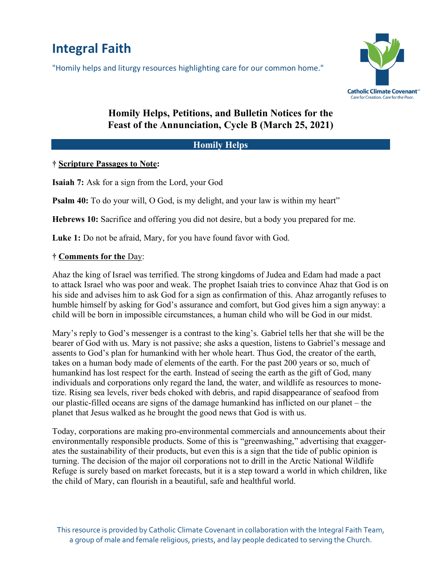# **Integral Faith**

"Homily helps and liturgy resources highlighting care for our common home."



# **Homily Helps, Petitions, and Bulletin Notices for the Feast of the Annunciation, Cycle B (March 25, 2021)**

### **Homily Helps**

#### **† Scripture Passages to Note:**

**Isaiah 7:** Ask for a sign from the Lord, your God

**Psalm 40:** To do your will, O God, is my delight, and your law is within my heart"

**Hebrews 10:** Sacrifice and offering you did not desire, but a body you prepared for me.

**Luke 1:** Do not be afraid, Mary, for you have found favor with God.

### **† Comments for the** Day:

Ahaz the king of Israel was terrified. The strong kingdoms of Judea and Edam had made a pact to attack Israel who was poor and weak. The prophet Isaiah tries to convince Ahaz that God is on his side and advises him to ask God for a sign as confirmation of this. Ahaz arrogantly refuses to humble himself by asking for God's assurance and comfort, but God gives him a sign anyway: a child will be born in impossible circumstances, a human child who will be God in our midst.

Mary's reply to God's messenger is a contrast to the king's. Gabriel tells her that she will be the bearer of God with us. Mary is not passive; she asks a question, listens to Gabriel's message and assents to God's plan for humankind with her whole heart. Thus God, the creator of the earth, takes on a human body made of elements of the earth. For the past 200 years or so, much of humankind has lost respect for the earth. Instead of seeing the earth as the gift of God, many individuals and corporations only regard the land, the water, and wildlife as resources to monetize. Rising sea levels, river beds choked with debris, and rapid disappearance of seafood from our plastic-filled oceans are signs of the damage humankind has inflicted on our planet – the planet that Jesus walked as he brought the good news that God is with us.

Today, corporations are making pro-environmental commercials and announcements about their environmentally responsible products. Some of this is "greenwashing," advertising that exaggerates the sustainability of their products, but even this is a sign that the tide of public opinion is turning. The decision of the major oil corporations not to drill in the Arctic National Wildlife Refuge is surely based on market forecasts, but it is a step toward a world in which children, like the child of Mary, can flourish in a beautiful, safe and healthful world.